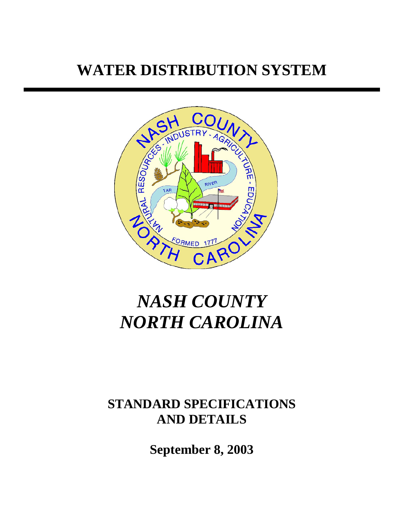# **WATER DISTRIBUTION SYSTEM**



# *NASH COUNTY NORTH CAROLINA*

# **STANDARD SPECIFICATIONS AND DETAILS**

**September 8, 2003**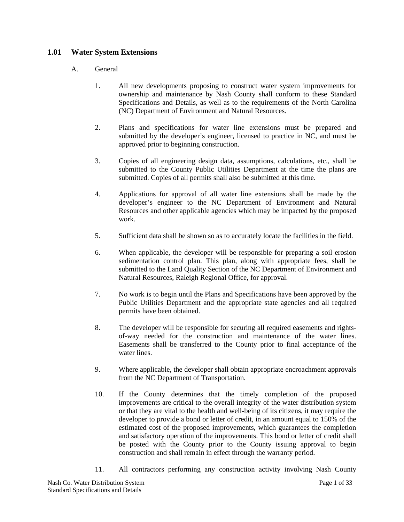#### **1.01 Water System Extensions**

#### A. General

- 1. All new developments proposing to construct water system improvements for ownership and maintenance by Nash County shall conform to these Standard Specifications and Details, as well as to the requirements of the North Carolina (NC) Department of Environment and Natural Resources.
- 2. Plans and specifications for water line extensions must be prepared and submitted by the developer's engineer, licensed to practice in NC, and must be approved prior to beginning construction.
- 3. Copies of all engineering design data, assumptions, calculations, etc., shall be submitted to the County Public Utilities Department at the time the plans are submitted. Copies of all permits shall also be submitted at this time.
- 4. Applications for approval of all water line extensions shall be made by the developer's engineer to the NC Department of Environment and Natural Resources and other applicable agencies which may be impacted by the proposed work.
- 5. Sufficient data shall be shown so as to accurately locate the facilities in the field.
- 6. When applicable, the developer will be responsible for preparing a soil erosion sedimentation control plan. This plan, along with appropriate fees, shall be submitted to the Land Quality Section of the NC Department of Environment and Natural Resources, Raleigh Regional Office, for approval.
- 7. No work is to begin until the Plans and Specifications have been approved by the Public Utilities Department and the appropriate state agencies and all required permits have been obtained.
- 8. The developer will be responsible for securing all required easements and rightsof-way needed for the construction and maintenance of the water lines. Easements shall be transferred to the County prior to final acceptance of the water lines.
- 9. Where applicable, the developer shall obtain appropriate encroachment approvals from the NC Department of Transportation.
- 10. If the County determines that the timely completion of the proposed improvements are critical to the overall integrity of the water distribution system or that they are vital to the health and well-being of its citizens, it may require the developer to provide a bond or letter of credit, in an amount equal to 150% of the estimated cost of the proposed improvements, which guarantees the completion and satisfactory operation of the improvements. This bond or letter of credit shall be posted with the County prior to the County issuing approval to begin construction and shall remain in effect through the warranty period.
- 11. All contractors performing any construction activity involving Nash County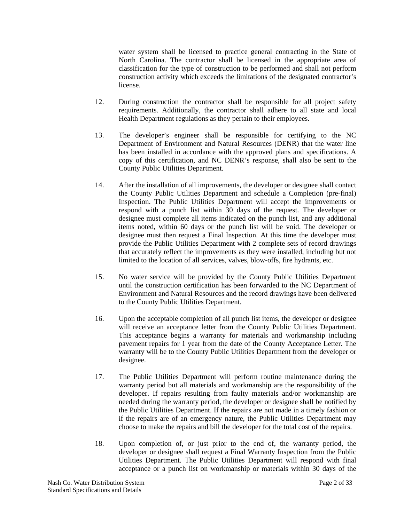water system shall be licensed to practice general contracting in the State of North Carolina. The contractor shall be licensed in the appropriate area of classification for the type of construction to be performed and shall not perform construction activity which exceeds the limitations of the designated contractor's license.

- 12. During construction the contractor shall be responsible for all project safety requirements. Additionally, the contractor shall adhere to all state and local Health Department regulations as they pertain to their employees.
- 13. The developer's engineer shall be responsible for certifying to the NC Department of Environment and Natural Resources (DENR) that the water line has been installed in accordance with the approved plans and specifications. A copy of this certification, and NC DENR's response, shall also be sent to the County Public Utilities Department.
- 14. After the installation of all improvements, the developer or designee shall contact the County Public Utilities Department and schedule a Completion (pre-final) Inspection. The Public Utilities Department will accept the improvements or respond with a punch list within 30 days of the request. The developer or designee must complete all items indicated on the punch list, and any additional items noted, within 60 days or the punch list will be void. The developer or designee must then request a Final Inspection. At this time the developer must provide the Public Utilities Department with 2 complete sets of record drawings that accurately reflect the improvements as they were installed, including but not limited to the location of all services, valves, blow-offs, fire hydrants, etc.
- 15. No water service will be provided by the County Public Utilities Department until the construction certification has been forwarded to the NC Department of Environment and Natural Resources and the record drawings have been delivered to the County Public Utilities Department.
- 16. Upon the acceptable completion of all punch list items, the developer or designee will receive an acceptance letter from the County Public Utilities Department. This acceptance begins a warranty for materials and workmanship including pavement repairs for 1 year from the date of the County Acceptance Letter. The warranty will be to the County Public Utilities Department from the developer or designee.
- 17. The Public Utilities Department will perform routine maintenance during the warranty period but all materials and workmanship are the responsibility of the developer. If repairs resulting from faulty materials and/or workmanship are needed during the warranty period, the developer or designee shall be notified by the Public Utilities Department. If the repairs are not made in a timely fashion or if the repairs are of an emergency nature, the Public Utilities Department may choose to make the repairs and bill the developer for the total cost of the repairs.
- 18. Upon completion of, or just prior to the end of, the warranty period, the developer or designee shall request a Final Warranty Inspection from the Public Utilities Department. The Public Utilities Department will respond with final acceptance or a punch list on workmanship or materials within 30 days of the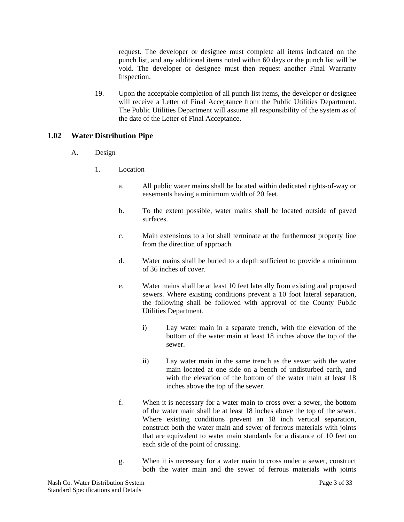request. The developer or designee must complete all items indicated on the punch list, and any additional items noted within 60 days or the punch list will be void. The developer or designee must then request another Final Warranty Inspection.

19. Upon the acceptable completion of all punch list items, the developer or designee will receive a Letter of Final Acceptance from the Public Utilities Department. The Public Utilities Department will assume all responsibility of the system as of the date of the Letter of Final Acceptance.

#### **1.02 Water Distribution Pipe**

- A. Design
	- 1. Location
		- a. All public water mains shall be located within dedicated rights-of-way or easements having a minimum width of 20 feet.
		- b. To the extent possible, water mains shall be located outside of paved surfaces.
		- c. Main extensions to a lot shall terminate at the furthermost property line from the direction of approach.
		- d. Water mains shall be buried to a depth sufficient to provide a minimum of 36 inches of cover.
		- e. Water mains shall be at least 10 feet laterally from existing and proposed sewers. Where existing conditions prevent a 10 foot lateral separation, the following shall be followed with approval of the County Public Utilities Department.
			- i) Lay water main in a separate trench, with the elevation of the bottom of the water main at least 18 inches above the top of the sewer.
			- ii) Lay water main in the same trench as the sewer with the water main located at one side on a bench of undisturbed earth, and with the elevation of the bottom of the water main at least 18 inches above the top of the sewer.
		- f. When it is necessary for a water main to cross over a sewer, the bottom of the water main shall be at least 18 inches above the top of the sewer. Where existing conditions prevent an 18 inch vertical separation, construct both the water main and sewer of ferrous materials with joints that are equivalent to water main standards for a distance of 10 feet on each side of the point of crossing.
		- g. When it is necessary for a water main to cross under a sewer, construct both the water main and the sewer of ferrous materials with joints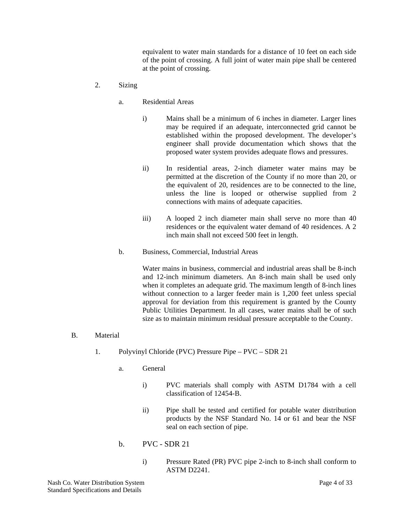equivalent to water main standards for a distance of 10 feet on each side of the point of crossing. A full joint of water main pipe shall be centered at the point of crossing.

- 2. Sizing
	- a. Residential Areas
		- i) Mains shall be a minimum of 6 inches in diameter. Larger lines may be required if an adequate, interconnected grid cannot be established within the proposed development. The developer's engineer shall provide documentation which shows that the proposed water system provides adequate flows and pressures.
		- ii) In residential areas, 2-inch diameter water mains may be permitted at the discretion of the County if no more than 20, or the equivalent of 20, residences are to be connected to the line, unless the line is looped or otherwise supplied from 2 connections with mains of adequate capacities.
		- iii) A looped 2 inch diameter main shall serve no more than 40 residences or the equivalent water demand of 40 residences. A 2 inch main shall not exceed 500 feet in length.
	- b. Business, Commercial, Industrial Areas

Water mains in business, commercial and industrial areas shall be 8-inch and 12-inch minimum diameters. An 8-inch main shall be used only when it completes an adequate grid. The maximum length of 8-inch lines without connection to a larger feeder main is 1,200 feet unless special approval for deviation from this requirement is granted by the County Public Utilities Department. In all cases, water mains shall be of such size as to maintain minimum residual pressure acceptable to the County.

- B. Material
	- 1. Polyvinyl Chloride (PVC) Pressure Pipe PVC SDR 21
		- a. General
			- i) PVC materials shall comply with ASTM D1784 with a cell classification of 12454-B.
			- ii) Pipe shall be tested and certified for potable water distribution products by the NSF Standard No. 14 or 61 and bear the NSF seal on each section of pipe.
		- $b.$  PVC SDR 21
			- i) Pressure Rated (PR) PVC pipe 2-inch to 8-inch shall conform to ASTM D2241.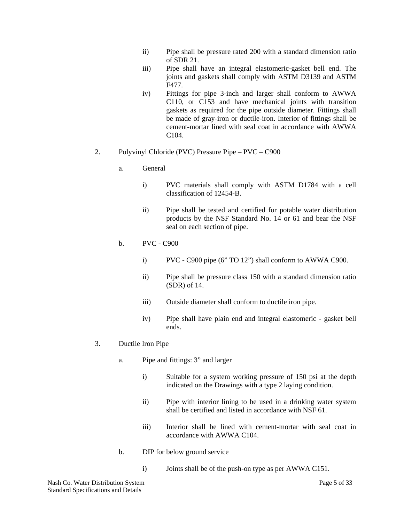- ii) Pipe shall be pressure rated 200 with a standard dimension ratio of SDR 21.
- iii) Pipe shall have an integral elastomeric-gasket bell end. The joints and gaskets shall comply with ASTM D3139 and ASTM F477.
- iv) Fittings for pipe 3-inch and larger shall conform to AWWA C110, or C153 and have mechanical joints with transition gaskets as required for the pipe outside diameter. Fittings shall be made of gray-iron or ductile-iron. Interior of fittings shall be cement-mortar lined with seal coat in accordance with AWWA C104.

#### 2. Polyvinyl Chloride (PVC) Pressure Pipe – PVC – C900

- a. General
	- i) PVC materials shall comply with ASTM D1784 with a cell classification of 12454-B.
	- ii) Pipe shall be tested and certified for potable water distribution products by the NSF Standard No. 14 or 61 and bear the NSF seal on each section of pipe.

#### b. PVC - C900

- i) PVC C900 pipe (6" TO 12") shall conform to AWWA C900.
- ii) Pipe shall be pressure class 150 with a standard dimension ratio (SDR) of 14.
- iii) Outside diameter shall conform to ductile iron pipe.
- iv) Pipe shall have plain end and integral elastomeric gasket bell ends.
- 3. Ductile Iron Pipe
	- a. Pipe and fittings: 3" and larger
		- i) Suitable for a system working pressure of 150 psi at the depth indicated on the Drawings with a type 2 laying condition.
		- ii) Pipe with interior lining to be used in a drinking water system shall be certified and listed in accordance with NSF 61.
		- iii) Interior shall be lined with cement-mortar with seal coat in accordance with AWWA C104.
	- b. DIP for below ground service
		- i) Joints shall be of the push-on type as per AWWA C151.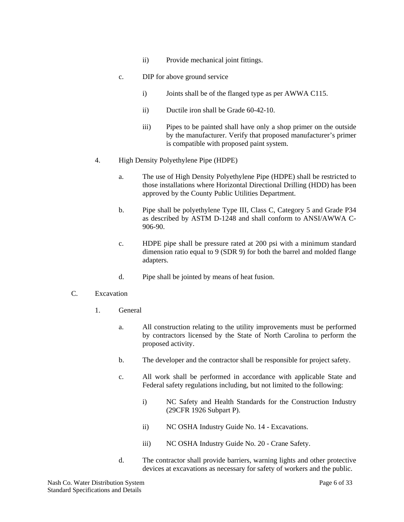- ii) Provide mechanical joint fittings.
- c. DIP for above ground service
	- i) Joints shall be of the flanged type as per AWWA C115.
	- ii) Ductile iron shall be Grade 60-42-10.
	- iii) Pipes to be painted shall have only a shop primer on the outside by the manufacturer. Verify that proposed manufacturer's primer is compatible with proposed paint system.
- 4. High Density Polyethylene Pipe (HDPE)
	- a. The use of High Density Polyethylene Pipe (HDPE) shall be restricted to those installations where Horizontal Directional Drilling (HDD) has been approved by the County Public Utilities Department.
	- b. Pipe shall be polyethylene Type III, Class C, Category 5 and Grade P34 as described by ASTM D-1248 and shall conform to ANSI/AWWA C-906-90.
	- c. HDPE pipe shall be pressure rated at 200 psi with a minimum standard dimension ratio equal to 9 (SDR 9) for both the barrel and molded flange adapters.
	- d. Pipe shall be jointed by means of heat fusion.
- C. Excavation
	- 1. General
		- a. All construction relating to the utility improvements must be performed by contractors licensed by the State of North Carolina to perform the proposed activity.
		- b. The developer and the contractor shall be responsible for project safety.
		- c. All work shall be performed in accordance with applicable State and Federal safety regulations including, but not limited to the following:
			- i) NC Safety and Health Standards for the Construction Industry (29CFR 1926 Subpart P).
			- ii) NC OSHA Industry Guide No. 14 Excavations.
			- iii) NC OSHA Industry Guide No. 20 Crane Safety.
		- d. The contractor shall provide barriers, warning lights and other protective devices at excavations as necessary for safety of workers and the public.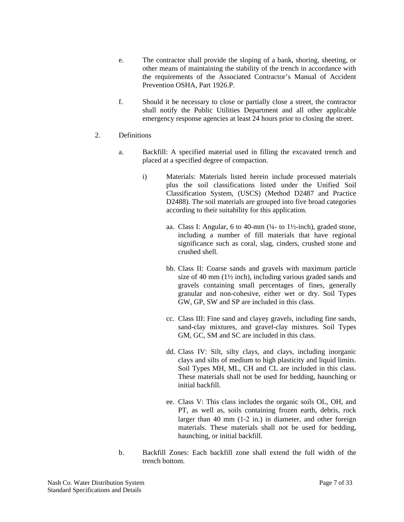- e. The contractor shall provide the sloping of a bank, shoring, sheeting, or other means of maintaining the stability of the trench in accordance with the requirements of the Associated Contractor's Manual of Accident Prevention OSHA, Part 1926.P.
- f. Should it be necessary to close or partially close a street, the contractor shall notify the Public Utilities Department and all other applicable emergency response agencies at least 24 hours prior to closing the street.
- 2. Definitions
	- a. Backfill: A specified material used in filling the excavated trench and placed at a specified degree of compaction.
		- i) Materials: Materials listed herein include processed materials plus the soil classifications listed under the Unified Soil Classification System, (USCS) (Method D2487 and Practice D2488). The soil materials are grouped into five broad categories according to their suitability for this application.
			- aa. Class I: Angular, 6 to 40-mm (¼- to 1½-inch), graded stone, including a number of fill materials that have regional significance such as coral, slag, cinders, crushed stone and crushed shell.
			- bb. Class II: Coarse sands and gravels with maximum particle size of 40 mm (1½ inch), including various graded sands and gravels containing small percentages of fines, generally granular and non-cohesive, either wet or dry. Soil Types GW, GP, SW and SP are included in this class.
			- cc. Class III: Fine sand and clayey gravels, including fine sands, sand-clay mixtures, and gravel-clay mixtures. Soil Types GM, GC, SM and SC are included in this class.
			- dd. Class IV: Silt, silty clays, and clays, including inorganic clays and silts of medium to high plasticity and liquid limits. Soil Types MH, ML, CH and CL are included in this class. These materials shall not be used for bedding, haunching or initial backfill.
			- ee. Class V: This class includes the organic soils OL, OH, and PT, as well as, soils containing frozen earth, debris, rock larger than 40 mm (1-2 in.) in diameter, and other foreign materials. These materials shall not be used for bedding, haunching, or initial backfill.
	- b. Backfill Zones: Each backfill zone shall extend the full width of the trench bottom.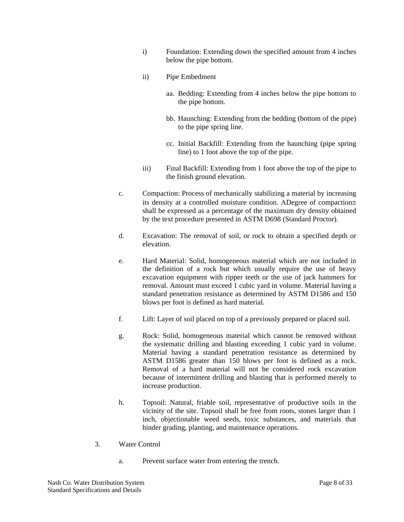- i) Foundation: Extending down the specified amount from 4 inches below the pipe bottom.
- ii) Pipe Embedment
	- aa. Bedding: Extending from 4 inches below the pipe bottom to the pipe bottom.
	- bb. Haunching: Extending from the bedding (bottom of the pipe) to the pipe spring line.
	- cc. Initial Backfill: Extending from the haunching (pipe spring line) to 1 foot above the top of the pipe.
- iii) Final Backfill: Extending from 1 foot above the top of the pipe to the finish ground elevation.
- c. Compaction: Process of mechanically stabilizing a material by increasing its density at a controlled moisture condition. ΑDegree of compaction≅ shall be expressed as a percentage of the maximum dry density obtained by the text procedure presented in ASTM D698 (Standard Proctor).
- d. Excavation: The removal of soil, or rock to obtain a specified depth or elevation.
- e. Hard Material: Solid, homogeneous material which are not included in the definition of a rock but which usually require the use of heavy excavation equipment with ripper teeth or the use of jack hammers for removal. Amount must exceed 1 cubic yard in volume. Material having a standard penetration resistance as determined by ASTM D1586 and 150 blows per foot is defined as hard material.
- f. Lift: Layer of soil placed on top of a previously prepared or placed soil.
- g. Rock: Solid, homogeneous material which cannot be removed without the systematic drilling and blasting exceeding 1 cubic yard in volume. Material having a standard penetration resistance as determined by ASTM D1586 greater than 150 blows per foot is defined as a rock. Removal of a hard material will not be considered rock excavation because of intermittent drilling and blasting that is performed merely to increase production.
- h. Topsoil: Natural, friable soil, representative of productive soils in the vicinity of the site. Topsoil shall be free from roots, stones larger than 1 inch, objectionable weed seeds, toxic substances, and materials that hinder grading, planting, and maintenance operations.
- 3. Water Control
	- a. Prevent surface water from entering the trench.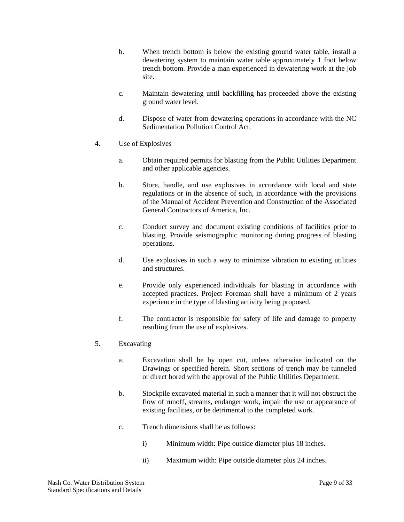- b. When trench bottom is below the existing ground water table, install a dewatering system to maintain water table approximately 1 foot below trench bottom. Provide a man experienced in dewatering work at the job site.
- c. Maintain dewatering until backfilling has proceeded above the existing ground water level.
- d. Dispose of water from dewatering operations in accordance with the NC Sedimentation Pollution Control Act.
- 4. Use of Explosives
	- a. Obtain required permits for blasting from the Public Utilities Department and other applicable agencies.
	- b. Store, handle, and use explosives in accordance with local and state regulations or in the absence of such, in accordance with the provisions of the Manual of Accident Prevention and Construction of the Associated General Contractors of America, Inc.
	- c. Conduct survey and document existing conditions of facilities prior to blasting. Provide seismographic monitoring during progress of blasting operations.
	- d. Use explosives in such a way to minimize vibration to existing utilities and structures.
	- e. Provide only experienced individuals for blasting in accordance with accepted practices. Project Foreman shall have a minimum of 2 years experience in the type of blasting activity being proposed.
	- f. The contractor is responsible for safety of life and damage to property resulting from the use of explosives.
- 5. Excavating
	- a. Excavation shall be by open cut, unless otherwise indicated on the Drawings or specified herein. Short sections of trench may be tunneled or direct bored with the approval of the Public Utilities Department.
	- b. Stockpile excavated material in such a manner that it will not obstruct the flow of runoff, streams, endanger work, impair the use or appearance of existing facilities, or be detrimental to the completed work.
	- c. Trench dimensions shall be as follows:
		- i) Minimum width: Pipe outside diameter plus 18 inches.
		- ii) Maximum width: Pipe outside diameter plus 24 inches.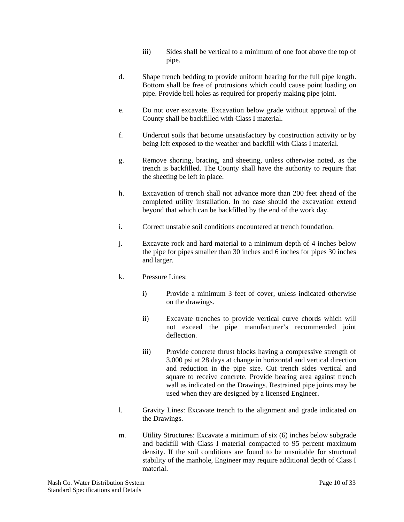- iii) Sides shall be vertical to a minimum of one foot above the top of pipe.
- d. Shape trench bedding to provide uniform bearing for the full pipe length. Bottom shall be free of protrusions which could cause point loading on pipe. Provide bell holes as required for properly making pipe joint.
- e. Do not over excavate. Excavation below grade without approval of the County shall be backfilled with Class I material.
- f. Undercut soils that become unsatisfactory by construction activity or by being left exposed to the weather and backfill with Class I material.
- g. Remove shoring, bracing, and sheeting, unless otherwise noted, as the trench is backfilled. The County shall have the authority to require that the sheeting be left in place.
- h. Excavation of trench shall not advance more than 200 feet ahead of the completed utility installation. In no case should the excavation extend beyond that which can be backfilled by the end of the work day.
- i. Correct unstable soil conditions encountered at trench foundation.
- j. Excavate rock and hard material to a minimum depth of 4 inches below the pipe for pipes smaller than 30 inches and 6 inches for pipes 30 inches and larger.
- k. Pressure Lines:
	- i) Provide a minimum 3 feet of cover, unless indicated otherwise on the drawings.
	- ii) Excavate trenches to provide vertical curve chords which will not exceed the pipe manufacturer's recommended joint deflection.
	- iii) Provide concrete thrust blocks having a compressive strength of 3,000 psi at 28 days at change in horizontal and vertical direction and reduction in the pipe size. Cut trench sides vertical and square to receive concrete. Provide bearing area against trench wall as indicated on the Drawings. Restrained pipe joints may be used when they are designed by a licensed Engineer.
- l. Gravity Lines: Excavate trench to the alignment and grade indicated on the Drawings.
- m. Utility Structures: Excavate a minimum of six (6) inches below subgrade and backfill with Class I material compacted to 95 percent maximum density. If the soil conditions are found to be unsuitable for structural stability of the manhole, Engineer may require additional depth of Class I material.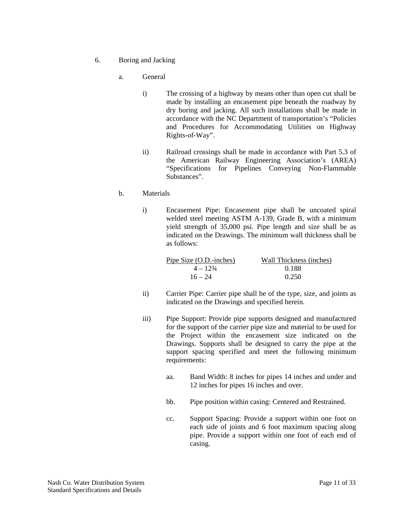- 6. Boring and Jacking
	- a. General
		- i) The crossing of a highway by means other than open cut shall be made by installing an encasement pipe beneath the roadway by dry boring and jacking. All such installations shall be made in accordance with the NC Department of transportation's "Policies and Procedures for Accommodating Utilities on Highway Rights-of-Way".
		- ii) Railroad crossings shall be made in accordance with Part 5.3 of the American Railway Engineering Association's (AREA) "Specifications for Pipelines Conveying Non-Flammable Substances".

#### b. Materials

i) Encasement Pipe: Encasement pipe shall be uncoated spiral welded steel meeting ASTM A-139, Grade B, with a minimum yield strength of 35,000 psi. Pipe length and size shall be as indicated on the Drawings. The minimum wall thickness shall be as follows:

| Pipe Size (O.D.-inches) | Wall Thickness (inches) |
|-------------------------|-------------------------|
| $4 - 12\frac{3}{4}$     | 0.188                   |
| $16 - 24$               | 0.250                   |

- ii) Carrier Pipe: Carrier pipe shall be of the type, size, and joints as indicated on the Drawings and specified herein.
- iii) Pipe Support: Provide pipe supports designed and manufactured for the support of the carrier pipe size and material to be used for the Project within the encasement size indicated on the Drawings. Supports shall be designed to carry the pipe at the support spacing specified and meet the following minimum requirements:
	- aa. Band Width: 8 inches for pipes 14 inches and under and 12 inches for pipes 16 inches and over.
	- bb. Pipe position within casing: Centered and Restrained.
	- cc. Support Spacing: Provide a support within one foot on each side of joints and 6 foot maximum spacing along pipe. Provide a support within one foot of each end of casing.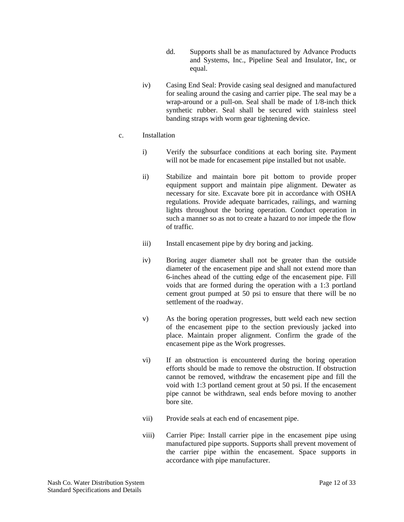- dd. Supports shall be as manufactured by Advance Products and Systems, Inc., Pipeline Seal and Insulator, Inc, or equal.
- iv) Casing End Seal: Provide casing seal designed and manufactured for sealing around the casing and carrier pipe. The seal may be a wrap-around or a pull-on. Seal shall be made of 1/8-inch thick synthetic rubber. Seal shall be secured with stainless steel banding straps with worm gear tightening device.

#### c. Installation

- i) Verify the subsurface conditions at each boring site. Payment will not be made for encasement pipe installed but not usable.
- ii) Stabilize and maintain bore pit bottom to provide proper equipment support and maintain pipe alignment. Dewater as necessary for site. Excavate bore pit in accordance with OSHA regulations. Provide adequate barricades, railings, and warning lights throughout the boring operation. Conduct operation in such a manner so as not to create a hazard to nor impede the flow of traffic.
- iii) Install encasement pipe by dry boring and jacking.
- iv) Boring auger diameter shall not be greater than the outside diameter of the encasement pipe and shall not extend more than 6-inches ahead of the cutting edge of the encasement pipe. Fill voids that are formed during the operation with a 1:3 portland cement grout pumped at 50 psi to ensure that there will be no settlement of the roadway.
- v) As the boring operation progresses, butt weld each new section of the encasement pipe to the section previously jacked into place. Maintain proper alignment. Confirm the grade of the encasement pipe as the Work progresses.
- vi) If an obstruction is encountered during the boring operation efforts should be made to remove the obstruction. If obstruction cannot be removed, withdraw the encasement pipe and fill the void with 1:3 portland cement grout at 50 psi. If the encasement pipe cannot be withdrawn, seal ends before moving to another bore site.
- vii) Provide seals at each end of encasement pipe.
- viii) Carrier Pipe: Install carrier pipe in the encasement pipe using manufactured pipe supports. Supports shall prevent movement of the carrier pipe within the encasement. Space supports in accordance with pipe manufacturer.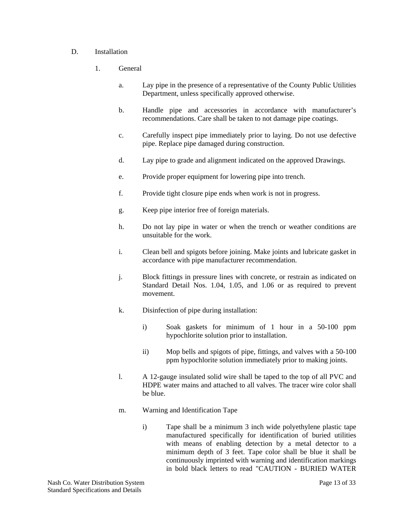#### D. Installation

- 1. General
	- a. Lay pipe in the presence of a representative of the County Public Utilities Department, unless specifically approved otherwise.
	- b. Handle pipe and accessories in accordance with manufacturer's recommendations. Care shall be taken to not damage pipe coatings.
	- c. Carefully inspect pipe immediately prior to laying. Do not use defective pipe. Replace pipe damaged during construction.
	- d. Lay pipe to grade and alignment indicated on the approved Drawings.
	- e. Provide proper equipment for lowering pipe into trench.
	- f. Provide tight closure pipe ends when work is not in progress.
	- g. Keep pipe interior free of foreign materials.
	- h. Do not lay pipe in water or when the trench or weather conditions are unsuitable for the work.
	- i. Clean bell and spigots before joining. Make joints and lubricate gasket in accordance with pipe manufacturer recommendation.
	- j. Block fittings in pressure lines with concrete, or restrain as indicated on Standard Detail Nos. 1.04, 1.05, and 1.06 or as required to prevent movement.
	- k. Disinfection of pipe during installation:
		- i) Soak gaskets for minimum of 1 hour in a 50-100 ppm hypochlorite solution prior to installation.
		- ii) Mop bells and spigots of pipe, fittings, and valves with a 50-100 ppm hypochlorite solution immediately prior to making joints.
	- l. A 12-gauge insulated solid wire shall be taped to the top of all PVC and HDPE water mains and attached to all valves. The tracer wire color shall be blue.
	- m. Warning and Identification Tape
		- i) Tape shall be a minimum 3 inch wide polyethylene plastic tape manufactured specifically for identification of buried utilities with means of enabling detection by a metal detector to a minimum depth of 3 feet. Tape color shall be blue it shall be continuously imprinted with warning and identification markings in bold black letters to read "CAUTION - BURIED WATER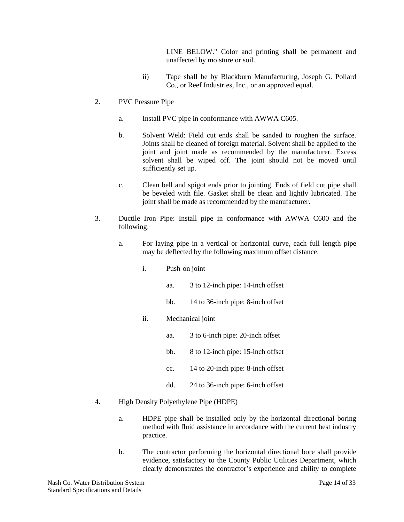LINE BELOW." Color and printing shall be permanent and unaffected by moisture or soil.

- ii) Tape shall be by Blackburn Manufacturing, Joseph G. Pollard Co., or Reef Industries, Inc., or an approved equal.
- 2. PVC Pressure Pipe
	- a. Install PVC pipe in conformance with AWWA C605.
	- b. Solvent Weld: Field cut ends shall be sanded to roughen the surface. Joints shall be cleaned of foreign material. Solvent shall be applied to the joint and joint made as recommended by the manufacturer. Excess solvent shall be wiped off. The joint should not be moved until sufficiently set up.
	- c. Clean bell and spigot ends prior to jointing. Ends of field cut pipe shall be beveled with file. Gasket shall be clean and lightly lubricated. The joint shall be made as recommended by the manufacturer.
- 3. Ductile Iron Pipe: Install pipe in conformance with AWWA C600 and the following:
	- a. For laying pipe in a vertical or horizontal curve, each full length pipe may be deflected by the following maximum offset distance:
		- i. Push-on joint
			- aa. 3 to 12-inch pipe: 14-inch offset
			- bb. 14 to 36-inch pipe: 8-inch offset
		- ii. Mechanical joint
			- aa. 3 to 6-inch pipe: 20-inch offset
			- bb. 8 to 12-inch pipe: 15-inch offset
			- cc. 14 to 20-inch pipe: 8-inch offset
			- dd. 24 to 36-inch pipe: 6-inch offset
- 4. High Density Polyethylene Pipe (HDPE)
	- a. HDPE pipe shall be installed only by the horizontal directional boring method with fluid assistance in accordance with the current best industry practice.
	- b. The contractor performing the horizontal directional bore shall provide evidence, satisfactory to the County Public Utilities Department, which clearly demonstrates the contractor's experience and ability to complete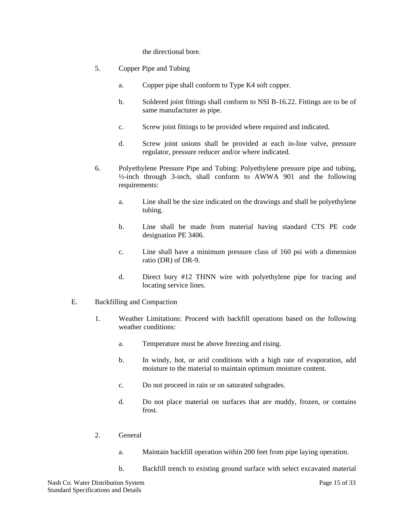the directional bore.

- 5. Copper Pipe and Tubing
	- a. Copper pipe shall conform to Type K4 soft copper.
	- b. Soldered joint fittings shall conform to NSI B-16.22. Fittings are to be of same manufacturer as pipe.
	- c. Screw joint fittings to be provided where required and indicated.
	- d. Screw joint unions shall be provided at each in-line valve, pressure regulator, pressure reducer and/or where indicated.
- 6. Polyethylene Pressure Pipe and Tubing: Polyethylene pressure pipe and tubing, ½-inch through 3-inch, shall conform to AWWA 901 and the following requirements:
	- a. Line shall be the size indicated on the drawings and shall be polyethylene tubing.
	- b. Line shall be made from material having standard CTS PE code designation PE 3406.
	- c. Line shall have a minimum pressure class of 160 psi with a dimension ratio (DR) of DR-9.
	- d. Direct bury #12 THNN wire with polyethylene pipe for tracing and locating service lines.
- E. Backfilling and Compaction
	- 1. Weather Limitations: Proceed with backfill operations based on the following weather conditions:
		- a. Temperature must be above freezing and rising.
		- b. In windy, hot, or arid conditions with a high rate of evaporation, add moisture to the material to maintain optimum moisture content.
		- c. Do not proceed in rain or on saturated subgrades.
		- d. Do not place material on surfaces that are muddy, frozen, or contains frost.
	- 2. General
		- a. Maintain backfill operation within 200 feet from pipe laying operation.
		- b. Backfill trench to existing ground surface with select excavated material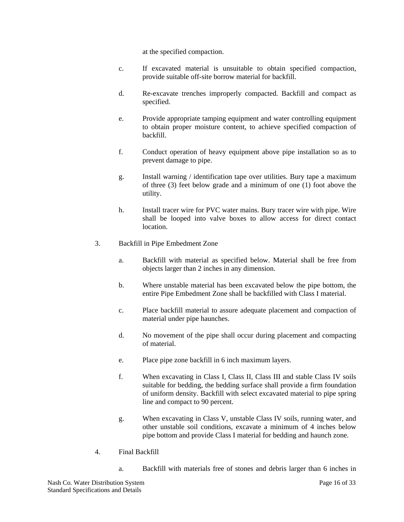at the specified compaction.

- c. If excavated material is unsuitable to obtain specified compaction, provide suitable off-site borrow material for backfill.
- d. Re-excavate trenches improperly compacted. Backfill and compact as specified.
- e. Provide appropriate tamping equipment and water controlling equipment to obtain proper moisture content, to achieve specified compaction of backfill.
- f. Conduct operation of heavy equipment above pipe installation so as to prevent damage to pipe.
- g. Install warning / identification tape over utilities. Bury tape a maximum of three (3) feet below grade and a minimum of one (1) foot above the utility.
- h. Install tracer wire for PVC water mains. Bury tracer wire with pipe. Wire shall be looped into valve boxes to allow access for direct contact location.
- 3. Backfill in Pipe Embedment Zone
	- a. Backfill with material as specified below. Material shall be free from objects larger than 2 inches in any dimension.
	- b. Where unstable material has been excavated below the pipe bottom, the entire Pipe Embedment Zone shall be backfilled with Class I material.
	- c. Place backfill material to assure adequate placement and compaction of material under pipe haunches.
	- d. No movement of the pipe shall occur during placement and compacting of material.
	- e. Place pipe zone backfill in 6 inch maximum layers.
	- f. When excavating in Class I, Class II, Class III and stable Class IV soils suitable for bedding, the bedding surface shall provide a firm foundation of uniform density. Backfill with select excavated material to pipe spring line and compact to 90 percent.
	- g. When excavating in Class V, unstable Class IV soils, running water, and other unstable soil conditions, excavate a minimum of 4 inches below pipe bottom and provide Class I material for bedding and haunch zone.
- 4. Final Backfill
	- a. Backfill with materials free of stones and debris larger than 6 inches in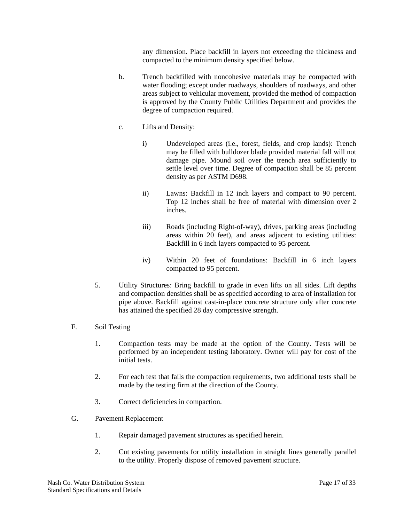any dimension. Place backfill in layers not exceeding the thickness and compacted to the minimum density specified below.

- b. Trench backfilled with noncohesive materials may be compacted with water flooding; except under roadways, shoulders of roadways, and other areas subject to vehicular movement, provided the method of compaction is approved by the County Public Utilities Department and provides the degree of compaction required.
- c. Lifts and Density:
	- i) Undeveloped areas (i.e., forest, fields, and crop lands): Trench may be filled with bulldozer blade provided material fall will not damage pipe. Mound soil over the trench area sufficiently to settle level over time. Degree of compaction shall be 85 percent density as per ASTM D698.
	- ii) Lawns: Backfill in 12 inch layers and compact to 90 percent. Top 12 inches shall be free of material with dimension over 2 inches.
	- iii) Roads (including Right-of-way), drives, parking areas (including areas within 20 feet), and areas adjacent to existing utilities: Backfill in 6 inch layers compacted to 95 percent.
	- iv) Within 20 feet of foundations: Backfill in 6 inch layers compacted to 95 percent.
- 5. Utility Structures: Bring backfill to grade in even lifts on all sides. Lift depths and compaction densities shall be as specified according to area of installation for pipe above. Backfill against cast-in-place concrete structure only after concrete has attained the specified 28 day compressive strength.
- F. Soil Testing
	- 1. Compaction tests may be made at the option of the County. Tests will be performed by an independent testing laboratory. Owner will pay for cost of the initial tests.
	- 2. For each test that fails the compaction requirements, two additional tests shall be made by the testing firm at the direction of the County.
	- 3. Correct deficiencies in compaction.
- G. Pavement Replacement
	- 1. Repair damaged pavement structures as specified herein.
	- 2. Cut existing pavements for utility installation in straight lines generally parallel to the utility. Properly dispose of removed pavement structure.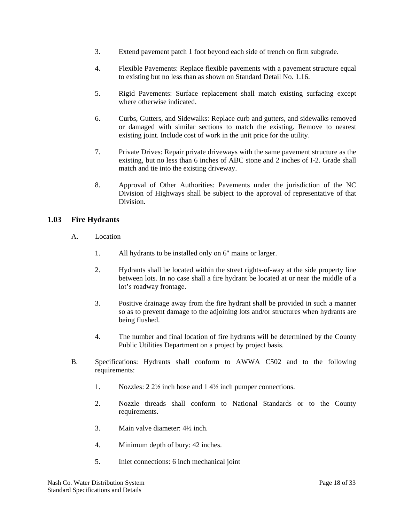- 3. Extend pavement patch 1 foot beyond each side of trench on firm subgrade.
- 4. Flexible Pavements: Replace flexible pavements with a pavement structure equal to existing but no less than as shown on Standard Detail No. 1.16.
- 5. Rigid Pavements: Surface replacement shall match existing surfacing except where otherwise indicated.
- 6. Curbs, Gutters, and Sidewalks: Replace curb and gutters, and sidewalks removed or damaged with similar sections to match the existing. Remove to nearest existing joint. Include cost of work in the unit price for the utility.
- 7. Private Drives: Repair private driveways with the same pavement structure as the existing, but no less than 6 inches of ABC stone and 2 inches of I-2. Grade shall match and tie into the existing driveway.
- 8. Approval of Other Authorities: Pavements under the jurisdiction of the NC Division of Highways shall be subject to the approval of representative of that Division.

#### **1.03 Fire Hydrants**

- A. Location
	- 1. All hydrants to be installed only on 6" mains or larger.
	- 2. Hydrants shall be located within the street rights-of-way at the side property line between lots. In no case shall a fire hydrant be located at or near the middle of a lot's roadway frontage.
	- 3. Positive drainage away from the fire hydrant shall be provided in such a manner so as to prevent damage to the adjoining lots and/or structures when hydrants are being flushed.
	- 4. The number and final location of fire hydrants will be determined by the County Public Utilities Department on a project by project basis.
- B. Specifications: Hydrants shall conform to AWWA C502 and to the following requirements:
	- 1. Nozzles: 2 2½ inch hose and 1 4½ inch pumper connections.
	- 2. Nozzle threads shall conform to National Standards or to the County requirements.
	- 3. Main valve diameter: 4½ inch.
	- 4. Minimum depth of bury: 42 inches.
	- 5. Inlet connections: 6 inch mechanical joint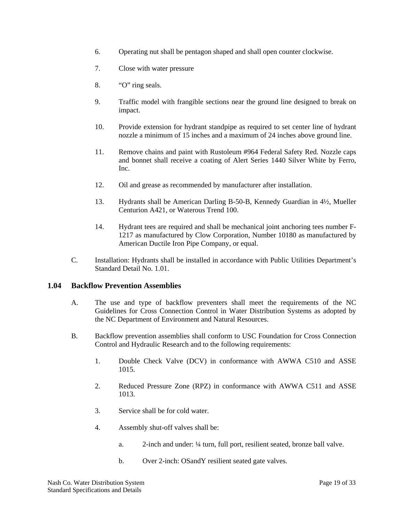- 6. Operating nut shall be pentagon shaped and shall open counter clockwise.
- 7. Close with water pressure
- 8. "O" ring seals.
- 9. Traffic model with frangible sections near the ground line designed to break on impact.
- 10. Provide extension for hydrant standpipe as required to set center line of hydrant nozzle a minimum of 15 inches and a maximum of 24 inches above ground line.
- 11. Remove chains and paint with Rustoleum #964 Federal Safety Red. Nozzle caps and bonnet shall receive a coating of Alert Series 1440 Silver White by Ferro, Inc.
- 12. Oil and grease as recommended by manufacturer after installation.
- 13. Hydrants shall be American Darling B-50-B, Kennedy Guardian in 4½, Mueller Centurion A421, or Waterous Trend 100.
- 14. Hydrant tees are required and shall be mechanical joint anchoring tees number F-1217 as manufactured by Clow Corporation, Number 10180 as manufactured by American Ductile Iron Pipe Company, or equal.
- C. Installation: Hydrants shall be installed in accordance with Public Utilities Department's Standard Detail No. 1.01.

#### **1.04 Backflow Prevention Assemblies**

- A. The use and type of backflow preventers shall meet the requirements of the NC Guidelines for Cross Connection Control in Water Distribution Systems as adopted by the NC Department of Environment and Natural Resources.
- B. Backflow prevention assemblies shall conform to USC Foundation for Cross Connection Control and Hydraulic Research and to the following requirements:
	- 1. Double Check Valve (DCV) in conformance with AWWA C510 and ASSE 1015.
	- 2. Reduced Pressure Zone (RPZ) in conformance with AWWA C511 and ASSE 1013.
	- 3. Service shall be for cold water.
	- 4. Assembly shut-off valves shall be:
		- a. 2-inch and under: ¼ turn, full port, resilient seated, bronze ball valve.
		- b. Over 2-inch: OSandY resilient seated gate valves.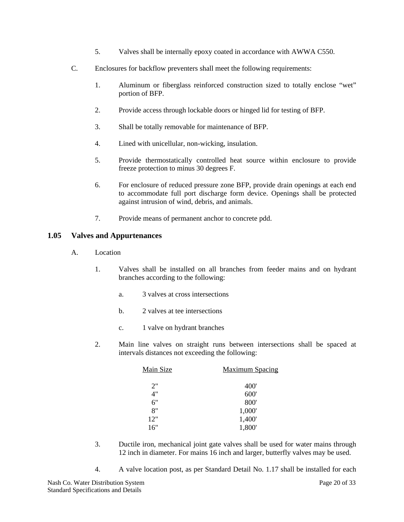- 5. Valves shall be internally epoxy coated in accordance with AWWA C550.
- C. Enclosures for backflow preventers shall meet the following requirements:
	- 1. Aluminum or fiberglass reinforced construction sized to totally enclose "wet" portion of BFP.
	- 2. Provide access through lockable doors or hinged lid for testing of BFP.
	- 3. Shall be totally removable for maintenance of BFP.
	- 4. Lined with unicellular, non-wicking, insulation.
	- 5. Provide thermostatically controlled heat source within enclosure to provide freeze protection to minus 30 degrees F.
	- 6. For enclosure of reduced pressure zone BFP, provide drain openings at each end to accommodate full port discharge form device. Openings shall be protected against intrusion of wind, debris, and animals.
	- 7. Provide means of permanent anchor to concrete pdd.

#### **1.05 Valves and Appurtenances**

- A. Location
	- 1. Valves shall be installed on all branches from feeder mains and on hydrant branches according to the following:
		- a. 3 valves at cross intersections
		- b. 2 valves at tee intersections
		- c. 1 valve on hydrant branches
	- 2. Main line valves on straight runs between intersections shall be spaced at intervals distances not exceeding the following:

| Main Size | <b>Maximum Spacing</b> |
|-----------|------------------------|
| 2"        | 400'                   |
| 4"        | 600'                   |
| 6"        | 800'                   |
| 8"        | 1,000'                 |
| 12"       | 1,400'                 |
| 16"       | 1,800'                 |

- 3. Ductile iron, mechanical joint gate valves shall be used for water mains through 12 inch in diameter. For mains 16 inch and larger, butterfly valves may be used.
- 4. A valve location post, as per Standard Detail No. 1.17 shall be installed for each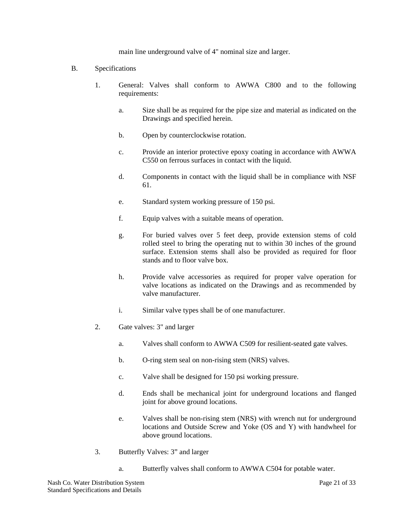main line underground valve of 4" nominal size and larger.

- B. Specifications
	- 1. General: Valves shall conform to AWWA C800 and to the following requirements:
		- a. Size shall be as required for the pipe size and material as indicated on the Drawings and specified herein.
		- b. Open by counterclockwise rotation.
		- c. Provide an interior protective epoxy coating in accordance with AWWA C550 on ferrous surfaces in contact with the liquid.
		- d. Components in contact with the liquid shall be in compliance with NSF 61.
		- e. Standard system working pressure of 150 psi.
		- f. Equip valves with a suitable means of operation.
		- g. For buried valves over 5 feet deep, provide extension stems of cold rolled steel to bring the operating nut to within 30 inches of the ground surface. Extension stems shall also be provided as required for floor stands and to floor valve box.
		- h. Provide valve accessories as required for proper valve operation for valve locations as indicated on the Drawings and as recommended by valve manufacturer.
		- i. Similar valve types shall be of one manufacturer.
	- 2. Gate valves: 3" and larger
		- a. Valves shall conform to AWWA C509 for resilient-seated gate valves.
		- b. O-ring stem seal on non-rising stem (NRS) valves.
		- c. Valve shall be designed for 150 psi working pressure.
		- d. Ends shall be mechanical joint for underground locations and flanged joint for above ground locations.
		- e. Valves shall be non-rising stem (NRS) with wrench nut for underground locations and Outside Screw and Yoke (OS and Y) with handwheel for above ground locations.
	- 3. Butterfly Valves: 3" and larger
		- a. Butterfly valves shall conform to AWWA C504 for potable water.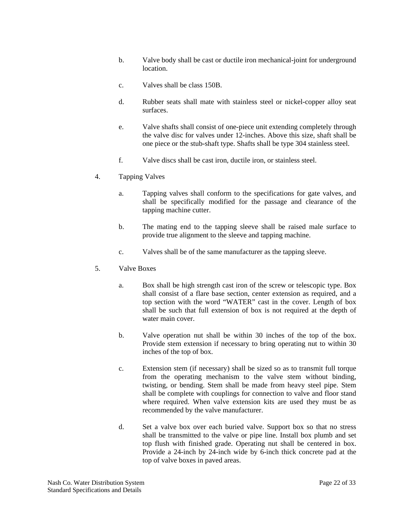- b. Valve body shall be cast or ductile iron mechanical-joint for underground location.
- c. Valves shall be class 150B.
- d. Rubber seats shall mate with stainless steel or nickel-copper alloy seat surfaces.
- e. Valve shafts shall consist of one-piece unit extending completely through the valve disc for valves under 12-inches. Above this size, shaft shall be one piece or the stub-shaft type. Shafts shall be type 304 stainless steel.
- f. Valve discs shall be cast iron, ductile iron, or stainless steel.
- 4. Tapping Valves
	- a. Tapping valves shall conform to the specifications for gate valves, and shall be specifically modified for the passage and clearance of the tapping machine cutter.
	- b. The mating end to the tapping sleeve shall be raised male surface to provide true alignment to the sleeve and tapping machine.
	- c. Valves shall be of the same manufacturer as the tapping sleeve.
- 5. Valve Boxes
	- a. Box shall be high strength cast iron of the screw or telescopic type. Box shall consist of a flare base section, center extension as required, and a top section with the word "WATER" cast in the cover. Length of box shall be such that full extension of box is not required at the depth of water main cover.
	- b. Valve operation nut shall be within 30 inches of the top of the box. Provide stem extension if necessary to bring operating nut to within 30 inches of the top of box.
	- c. Extension stem (if necessary) shall be sized so as to transmit full torque from the operating mechanism to the valve stem without binding, twisting, or bending. Stem shall be made from heavy steel pipe. Stem shall be complete with couplings for connection to valve and floor stand where required. When valve extension kits are used they must be as recommended by the valve manufacturer.
	- d. Set a valve box over each buried valve. Support box so that no stress shall be transmitted to the valve or pipe line. Install box plumb and set top flush with finished grade. Operating nut shall be centered in box. Provide a 24-inch by 24-inch wide by 6-inch thick concrete pad at the top of valve boxes in paved areas.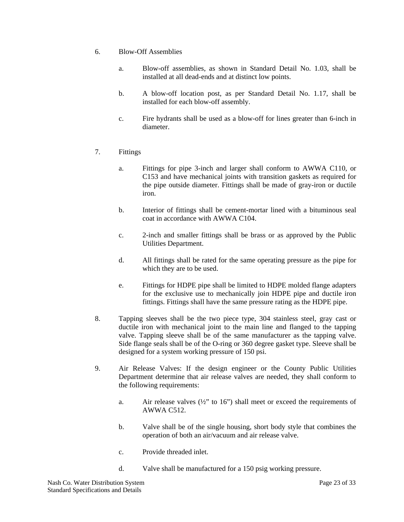- 6. Blow-Off Assemblies
	- a. Blow-off assemblies, as shown in Standard Detail No. 1.03, shall be installed at all dead-ends and at distinct low points.
	- b. A blow-off location post, as per Standard Detail No. 1.17, shall be installed for each blow-off assembly.
	- c. Fire hydrants shall be used as a blow-off for lines greater than 6-inch in diameter.
- 7. Fittings
	- a. Fittings for pipe 3-inch and larger shall conform to AWWA C110, or C153 and have mechanical joints with transition gaskets as required for the pipe outside diameter. Fittings shall be made of gray-iron or ductile iron.
	- b. Interior of fittings shall be cement-mortar lined with a bituminous seal coat in accordance with AWWA C104.
	- c. 2-inch and smaller fittings shall be brass or as approved by the Public Utilities Department.
	- d. All fittings shall be rated for the same operating pressure as the pipe for which they are to be used.
	- e. Fittings for HDPE pipe shall be limited to HDPE molded flange adapters for the exclusive use to mechanically join HDPE pipe and ductile iron fittings. Fittings shall have the same pressure rating as the HDPE pipe.
- 8. Tapping sleeves shall be the two piece type, 304 stainless steel, gray cast or ductile iron with mechanical joint to the main line and flanged to the tapping valve. Tapping sleeve shall be of the same manufacturer as the tapping valve. Side flange seals shall be of the O-ring or 360 degree gasket type. Sleeve shall be designed for a system working pressure of 150 psi.
- 9. Air Release Valves: If the design engineer or the County Public Utilities Department determine that air release valves are needed, they shall conform to the following requirements:
	- a. Air release valves  $(\frac{1}{2})$  to 16") shall meet or exceed the requirements of AWWA C512.
	- b. Valve shall be of the single housing, short body style that combines the operation of both an air/vacuum and air release valve.
	- c. Provide threaded inlet.
	- d. Valve shall be manufactured for a 150 psig working pressure.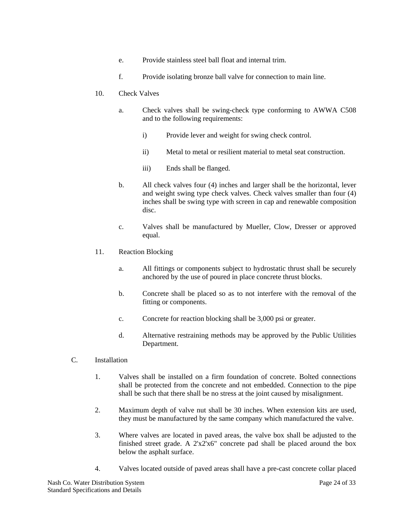- e. Provide stainless steel ball float and internal trim.
- f. Provide isolating bronze ball valve for connection to main line.
- 10. Check Valves
	- a. Check valves shall be swing-check type conforming to AWWA C508 and to the following requirements:
		- i) Provide lever and weight for swing check control.
		- ii) Metal to metal or resilient material to metal seat construction.
		- iii) Ends shall be flanged.
	- b. All check valves four (4) inches and larger shall be the horizontal, lever and weight swing type check valves. Check valves smaller than four (4) inches shall be swing type with screen in cap and renewable composition disc.
	- c. Valves shall be manufactured by Mueller, Clow, Dresser or approved equal.
- 11. Reaction Blocking
	- a. All fittings or components subject to hydrostatic thrust shall be securely anchored by the use of poured in place concrete thrust blocks.
	- b. Concrete shall be placed so as to not interfere with the removal of the fitting or components.
	- c. Concrete for reaction blocking shall be 3,000 psi or greater.
	- d. Alternative restraining methods may be approved by the Public Utilities Department.
- C. Installation
	- 1. Valves shall be installed on a firm foundation of concrete. Bolted connections shall be protected from the concrete and not embedded. Connection to the pipe shall be such that there shall be no stress at the joint caused by misalignment.
	- 2. Maximum depth of valve nut shall be 30 inches. When extension kits are used, they must be manufactured by the same company which manufactured the valve.
	- 3. Where valves are located in paved areas, the valve box shall be adjusted to the finished street grade. A 2'x2'x6" concrete pad shall be placed around the box below the asphalt surface.
	- 4. Valves located outside of paved areas shall have a pre-cast concrete collar placed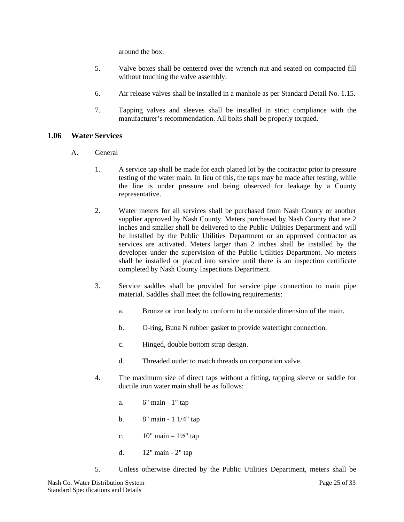around the box.

- 5. Valve boxes shall be centered over the wrench nut and seated on compacted fill without touching the valve assembly.
- 6. Air release valves shall be installed in a manhole as per Standard Detail No. 1.15.
- 7. Tapping valves and sleeves shall be installed in strict compliance with the manufacturer's recommendation. All bolts shall be properly torqued.

#### **1.06 Water Services**

- A. General
	- 1. A service tap shall be made for each platted lot by the contractor prior to pressure testing of the water main. In lieu of this, the taps may be made after testing, while the line is under pressure and being observed for leakage by a County representative.
	- 2. Water meters for all services shall be purchased from Nash County or another supplier approved by Nash County. Meters purchased by Nash County that are 2 inches and smaller shall be delivered to the Public Utilities Department and will be installed by the Public Utilities Department or an approved contractor as services are activated. Meters larger than 2 inches shall be installed by the developer under the supervision of the Public Utilities Department. No meters shall be installed or placed into service until there is an inspection certificate completed by Nash County Inspections Department.
	- 3. Service saddles shall be provided for service pipe connection to main pipe material. Saddles shall meet the following requirements:
		- a. Bronze or iron body to conform to the outside dimension of the main.
		- b. O-ring, Buna N rubber gasket to provide watertight connection.
		- c. Hinged, double bottom strap design.
		- d. Threaded outlet to match threads on corporation valve.
	- 4. The maximum size of direct taps without a fitting, tapping sleeve or saddle for ductile iron water main shall be as follows:
		- a. 6" main 1" tap
		- b. 8" main 1 1/4" tap
		- c.  $10'' \text{ main} 1\frac{1}{2}$  tap
		- d. 12" main 2" tap
	- 5. Unless otherwise directed by the Public Utilities Department, meters shall be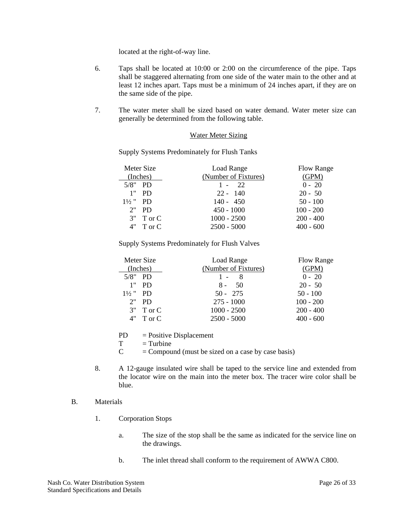located at the right-of-way line.

- 6. Taps shall be located at 10:00 or 2:00 on the circumference of the pipe. Taps shall be staggered alternating from one side of the water main to the other and at least 12 inches apart. Taps must be a minimum of 24 inches apart, if they are on the same side of the pipe.
- 7. The water meter shall be sized based on water demand. Water meter size can generally be determined from the following table.

#### Water Meter Sizing

Supply Systems Predominately for Flush Tanks

| Meter Size          | Load Range           | Flow Range  |
|---------------------|----------------------|-------------|
| (Inches)            | (Number of Fixtures) | (GPM)       |
| $5/8"$ PD           | $1 - 22$             | $0 - 20$    |
| 1"<br>PD.           | $22 - 140$           | $20 - 50$   |
| $1\frac{1}{2}$ " PD | $140 - 450$          | $50 - 100$  |
| $2"$ PD             | $450 - 1000$         | $100 - 200$ |
| $3"$ T or C         | $1000 - 2500$        | $200 - 400$ |
| $4"$ T or C         | $2500 - 5000$        | $400 - 600$ |

Supply Systems Predominately for Flush Valves

| Meter Size<br>(Inches) | Load Range<br>(Number of Fixtures) | Flow Range<br>(GPM) |
|------------------------|------------------------------------|---------------------|
|                        |                                    |                     |
| $5/8"$ PD              | $1 - 8$                            | $0 - 20$            |
| 1"<br>PD.              | $8 -$<br>50                        | $20 - 50$           |
| $1\frac{1}{2}$ " PD    | $50 - 275$                         | $50 - 100$          |
| $2"$ PD                | $275 - 1000$                       | $100 - 200$         |
| $3"$ T or C            | $1000 - 2500$                      | $200 - 400$         |
| $4"$ T or C            | $2500 - 5000$                      | $400 - 600$         |

PD = Positive Displacement

 $T =$ Turbine

 $C =$  Compound (must be sized on a case by case basis)

8. A 12-gauge insulated wire shall be taped to the service line and extended from the locator wire on the main into the meter box. The tracer wire color shall be blue.

#### B. Materials

- 1. Corporation Stops
	- a. The size of the stop shall be the same as indicated for the service line on the drawings.
	- b. The inlet thread shall conform to the requirement of AWWA C800.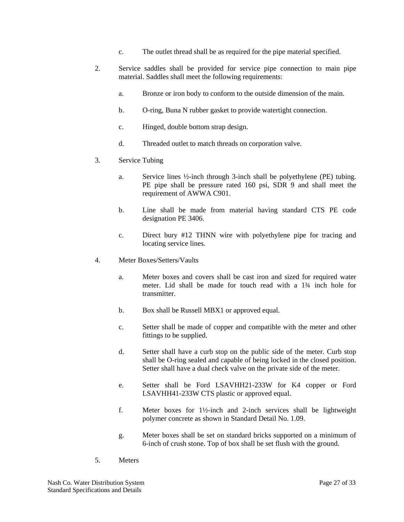- c. The outlet thread shall be as required for the pipe material specified.
- 2. Service saddles shall be provided for service pipe connection to main pipe material. Saddles shall meet the following requirements:
	- a. Bronze or iron body to conform to the outside dimension of the main.
	- b. O-ring, Buna N rubber gasket to provide watertight connection.
	- c. Hinged, double bottom strap design.
	- d. Threaded outlet to match threads on corporation valve.
- 3. Service Tubing
	- a. Service lines ½-inch through 3-inch shall be polyethylene (PE) tubing. PE pipe shall be pressure rated 160 psi, SDR 9 and shall meet the requirement of AWWA C901.
	- b. Line shall be made from material having standard CTS PE code designation PE 3406.
	- c. Direct bury #12 THNN wire with polyethylene pipe for tracing and locating service lines.
- 4. Meter Boxes/Setters/Vaults
	- a. Meter boxes and covers shall be cast iron and sized for required water meter. Lid shall be made for touch read with a 1¾ inch hole for transmitter.
	- b. Box shall be Russell MBX1 or approved equal.
	- c. Setter shall be made of copper and compatible with the meter and other fittings to be supplied.
	- d. Setter shall have a curb stop on the public side of the meter. Curb stop shall be O-ring sealed and capable of being locked in the closed position. Setter shall have a dual check valve on the private side of the meter.
	- e. Setter shall be Ford LSAVHH21-233W for K4 copper or Ford LSAVHH41-233W CTS plastic or approved equal.
	- f. Meter boxes for 1½-inch and 2-inch services shall be lightweight polymer concrete as shown in Standard Detail No. 1.09.
	- g. Meter boxes shall be set on standard bricks supported on a minimum of 6-inch of crush stone. Top of box shall be set flush with the ground.
- 5. Meters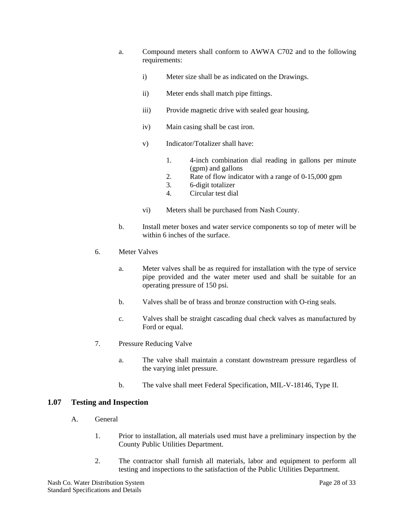- a. Compound meters shall conform to AWWA C702 and to the following requirements:
	- i) Meter size shall be as indicated on the Drawings.
	- ii) Meter ends shall match pipe fittings.
	- iii) Provide magnetic drive with sealed gear housing.
	- iv) Main casing shall be cast iron.
	- v) Indicator/Totalizer shall have:
		- 1. 4-inch combination dial reading in gallons per minute (gpm) and gallons
		- 2. Rate of flow indicator with a range of 0-15,000 gpm
		- 3. 6-digit totalizer
		- 4. Circular test dial
	- vi) Meters shall be purchased from Nash County.
- b. Install meter boxes and water service components so top of meter will be within 6 inches of the surface.
- 6. Meter Valves
	- a. Meter valves shall be as required for installation with the type of service pipe provided and the water meter used and shall be suitable for an operating pressure of 150 psi.
	- b. Valves shall be of brass and bronze construction with O-ring seals.
	- c. Valves shall be straight cascading dual check valves as manufactured by Ford or equal.
- 7. Pressure Reducing Valve
	- a. The valve shall maintain a constant downstream pressure regardless of the varying inlet pressure.
	- b. The valve shall meet Federal Specification, MIL-V-18146, Type II.

#### **1.07 Testing and Inspection**

- A. General
	- 1. Prior to installation, all materials used must have a preliminary inspection by the County Public Utilities Department.
	- 2. The contractor shall furnish all materials, labor and equipment to perform all testing and inspections to the satisfaction of the Public Utilities Department.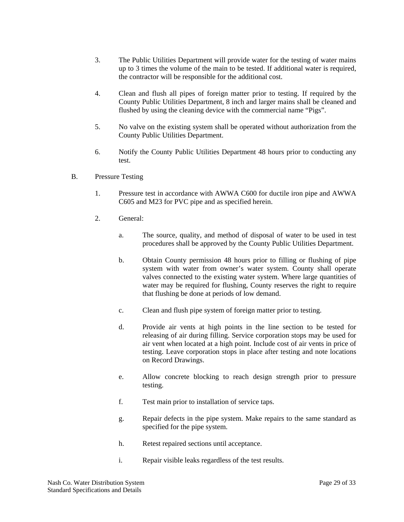- 3. The Public Utilities Department will provide water for the testing of water mains up to 3 times the volume of the main to be tested. If additional water is required, the contractor will be responsible for the additional cost.
- 4. Clean and flush all pipes of foreign matter prior to testing. If required by the County Public Utilities Department, 8 inch and larger mains shall be cleaned and flushed by using the cleaning device with the commercial name "Pigs".
- 5. No valve on the existing system shall be operated without authorization from the County Public Utilities Department.
- 6. Notify the County Public Utilities Department 48 hours prior to conducting any test.
- B. Pressure Testing
	- 1. Pressure test in accordance with AWWA C600 for ductile iron pipe and AWWA C605 and M23 for PVC pipe and as specified herein.
	- 2. General:
		- a. The source, quality, and method of disposal of water to be used in test procedures shall be approved by the County Public Utilities Department.
		- b. Obtain County permission 48 hours prior to filling or flushing of pipe system with water from owner's water system. County shall operate valves connected to the existing water system. Where large quantities of water may be required for flushing, County reserves the right to require that flushing be done at periods of low demand.
		- c. Clean and flush pipe system of foreign matter prior to testing.
		- d. Provide air vents at high points in the line section to be tested for releasing of air during filling. Service corporation stops may be used for air vent when located at a high point. Include cost of air vents in price of testing. Leave corporation stops in place after testing and note locations on Record Drawings.
		- e. Allow concrete blocking to reach design strength prior to pressure testing.
		- f. Test main prior to installation of service taps.
		- g. Repair defects in the pipe system. Make repairs to the same standard as specified for the pipe system.
		- h. Retest repaired sections until acceptance.
		- i. Repair visible leaks regardless of the test results.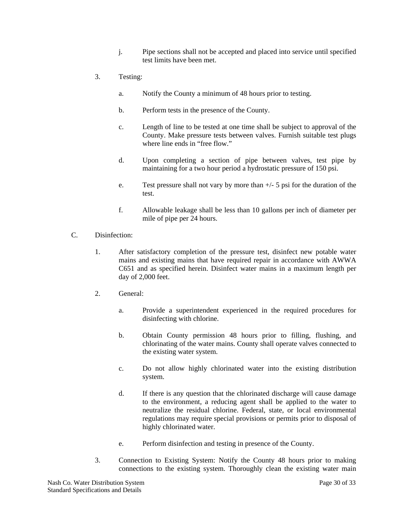- j. Pipe sections shall not be accepted and placed into service until specified test limits have been met.
- 3. Testing:
	- a. Notify the County a minimum of 48 hours prior to testing.
	- b. Perform tests in the presence of the County.
	- c. Length of line to be tested at one time shall be subject to approval of the County. Make pressure tests between valves. Furnish suitable test plugs where line ends in "free flow."
	- d. Upon completing a section of pipe between valves, test pipe by maintaining for a two hour period a hydrostatic pressure of 150 psi.
	- e. Test pressure shall not vary by more than  $+/-$  5 psi for the duration of the test.
	- f. Allowable leakage shall be less than 10 gallons per inch of diameter per mile of pipe per 24 hours.
- C. Disinfection:
	- 1. After satisfactory completion of the pressure test, disinfect new potable water mains and existing mains that have required repair in accordance with AWWA C651 and as specified herein. Disinfect water mains in a maximum length per day of 2,000 feet.
	- 2. General:
		- a. Provide a superintendent experienced in the required procedures for disinfecting with chlorine.
		- b. Obtain County permission 48 hours prior to filling, flushing, and chlorinating of the water mains. County shall operate valves connected to the existing water system.
		- c. Do not allow highly chlorinated water into the existing distribution system.
		- d. If there is any question that the chlorinated discharge will cause damage to the environment, a reducing agent shall be applied to the water to neutralize the residual chlorine. Federal, state, or local environmental regulations may require special provisions or permits prior to disposal of highly chlorinated water.
		- e. Perform disinfection and testing in presence of the County.
	- 3. Connection to Existing System: Notify the County 48 hours prior to making connections to the existing system. Thoroughly clean the existing water main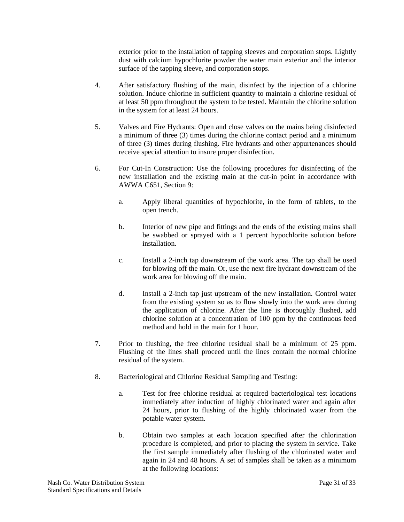exterior prior to the installation of tapping sleeves and corporation stops. Lightly dust with calcium hypochlorite powder the water main exterior and the interior surface of the tapping sleeve, and corporation stops.

- 4. After satisfactory flushing of the main, disinfect by the injection of a chlorine solution. Induce chlorine in sufficient quantity to maintain a chlorine residual of at least 50 ppm throughout the system to be tested. Maintain the chlorine solution in the system for at least 24 hours.
- 5. Valves and Fire Hydrants: Open and close valves on the mains being disinfected a minimum of three (3) times during the chlorine contact period and a minimum of three (3) times during flushing. Fire hydrants and other appurtenances should receive special attention to insure proper disinfection.
- 6. For Cut-In Construction: Use the following procedures for disinfecting of the new installation and the existing main at the cut-in point in accordance with AWWA C651, Section 9:
	- a. Apply liberal quantities of hypochlorite, in the form of tablets, to the open trench.
	- b. Interior of new pipe and fittings and the ends of the existing mains shall be swabbed or sprayed with a 1 percent hypochlorite solution before installation.
	- c. Install a 2-inch tap downstream of the work area. The tap shall be used for blowing off the main. Or, use the next fire hydrant downstream of the work area for blowing off the main.
	- d. Install a 2-inch tap just upstream of the new installation. Control water from the existing system so as to flow slowly into the work area during the application of chlorine. After the line is thoroughly flushed, add chlorine solution at a concentration of 100 ppm by the continuous feed method and hold in the main for 1 hour.
- 7. Prior to flushing, the free chlorine residual shall be a minimum of 25 ppm. Flushing of the lines shall proceed until the lines contain the normal chlorine residual of the system.
- 8. Bacteriological and Chlorine Residual Sampling and Testing:
	- a. Test for free chlorine residual at required bacteriological test locations immediately after induction of highly chlorinated water and again after 24 hours, prior to flushing of the highly chlorinated water from the potable water system.
	- b. Obtain two samples at each location specified after the chlorination procedure is completed, and prior to placing the system in service. Take the first sample immediately after flushing of the chlorinated water and again in 24 and 48 hours. A set of samples shall be taken as a minimum at the following locations: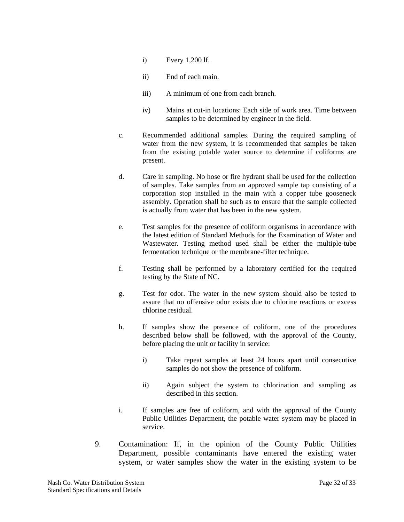- i) Every 1,200 lf.
- ii) End of each main.
- iii) A minimum of one from each branch.
- iv) Mains at cut-in locations: Each side of work area. Time between samples to be determined by engineer in the field.
- c. Recommended additional samples. During the required sampling of water from the new system, it is recommended that samples be taken from the existing potable water source to determine if coliforms are present.
- d. Care in sampling. No hose or fire hydrant shall be used for the collection of samples. Take samples from an approved sample tap consisting of a corporation stop installed in the main with a copper tube gooseneck assembly. Operation shall be such as to ensure that the sample collected is actually from water that has been in the new system.
- e. Test samples for the presence of coliform organisms in accordance with the latest edition of Standard Methods for the Examination of Water and Wastewater. Testing method used shall be either the multiple-tube fermentation technique or the membrane-filter technique.
- f. Testing shall be performed by a laboratory certified for the required testing by the State of NC.
- g. Test for odor. The water in the new system should also be tested to assure that no offensive odor exists due to chlorine reactions or excess chlorine residual.
- h. If samples show the presence of coliform, one of the procedures described below shall be followed, with the approval of the County, before placing the unit or facility in service:
	- i) Take repeat samples at least 24 hours apart until consecutive samples do not show the presence of coliform.
	- ii) Again subject the system to chlorination and sampling as described in this section.
- i. If samples are free of coliform, and with the approval of the County Public Utilities Department, the potable water system may be placed in service.
- 9. Contamination: If, in the opinion of the County Public Utilities Department, possible contaminants have entered the existing water system, or water samples show the water in the existing system to be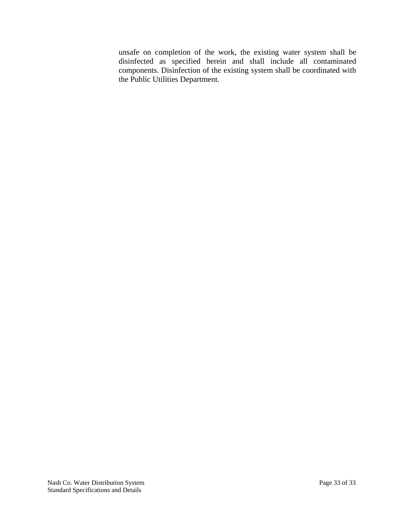unsafe on completion of the work, the existing water system shall be disinfected as specified herein and shall include all contaminated components. Disinfection of the existing system shall be coordinated with the Public Utilities Department.